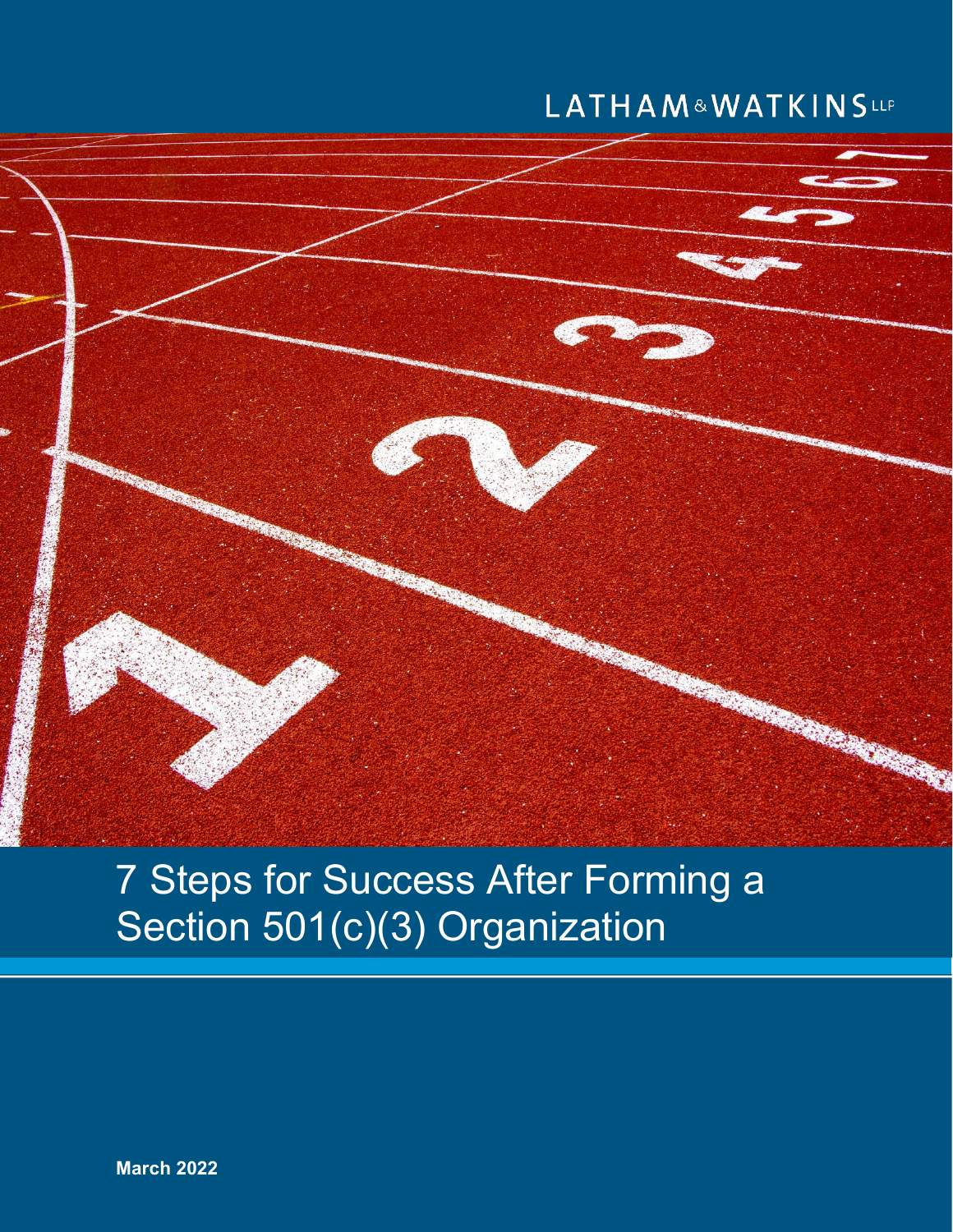## LATHAM&WATKINSLLP



# 7 Steps for Success After Forming a Section 501(c)(3) Organization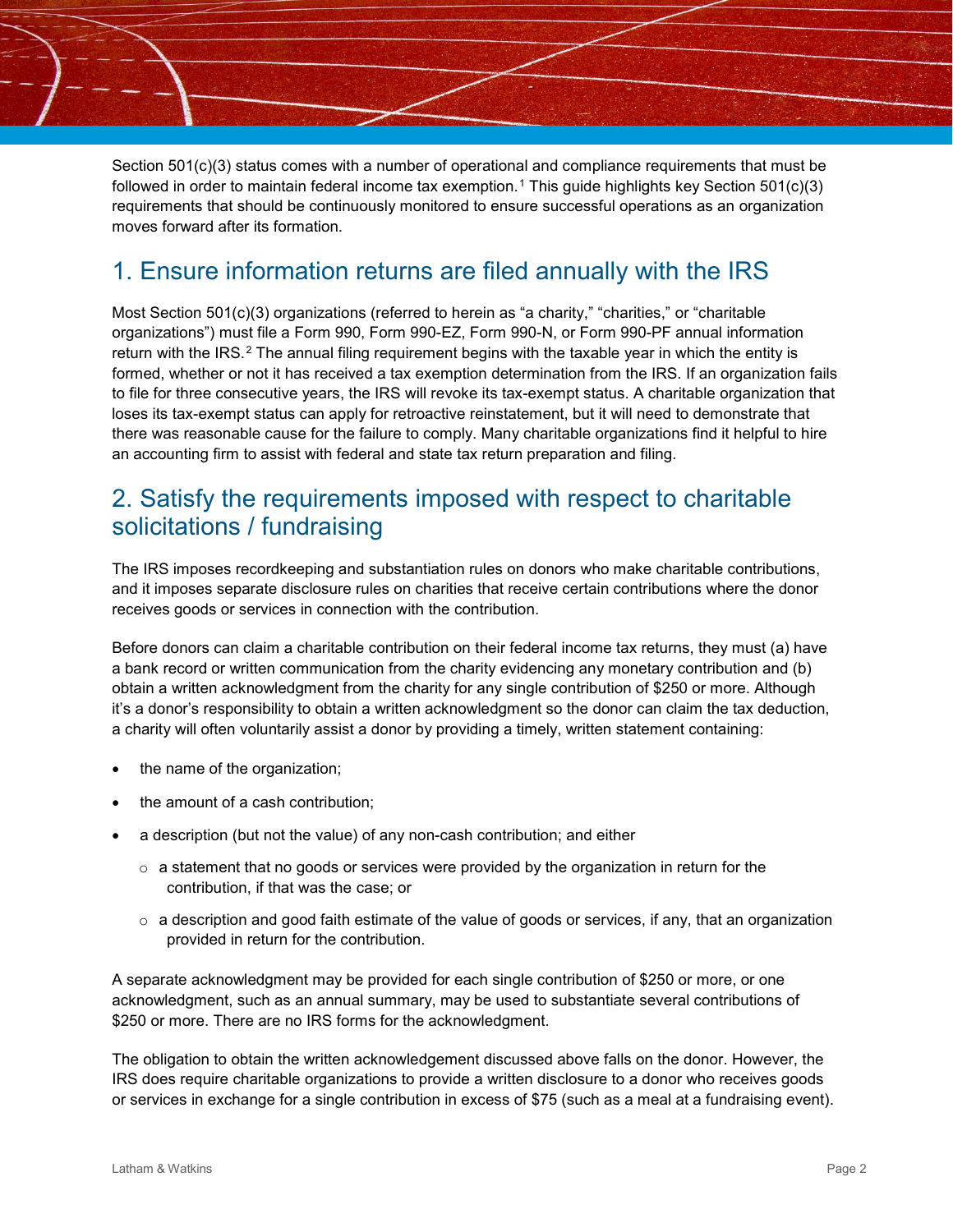Section 501(c)(3) status comes with a number of operational and compliance requirements that must be followed in order to maintain federal income tax exemption.<sup>[1](#page-5-0)</sup> This guide highlights key Section 501(c)(3) requirements that should be continuously monitored to ensure successful operations as an organization moves forward after its formation.

#### 1. Ensure information returns are filed annually with the IRS

Most Section 501(c)(3) organizations (referred to herein as "a charity," "charities," or "charitable organizations") must file a Form 990, Form 990-EZ, Form 990-N, or Form 990-PF annual information return with the  $IRS<sup>2</sup>$  $IRS<sup>2</sup>$  $IRS<sup>2</sup>$ . The annual filing requirement begins with the taxable year in which the entity is formed, whether or not it has received a tax exemption determination from the IRS. If an organization fails to file for three consecutive years, the IRS will revoke its tax-exempt status. A charitable organization that loses its tax-exempt status can apply for retroactive reinstatement, but it will need to demonstrate that there was reasonable cause for the failure to comply. Many charitable organizations find it helpful to hire an accounting firm to assist with federal and state tax return preparation and filing.

#### 2. Satisfy the requirements imposed with respect to charitable solicitations / fundraising

The IRS imposes recordkeeping and substantiation rules on donors who make charitable contributions, and it imposes separate disclosure rules on charities that receive certain contributions where the donor receives goods or services in connection with the contribution.

Before donors can claim a charitable contribution on their federal income tax returns, they must (a) have a bank record or written communication from the charity evidencing any monetary contribution and (b) obtain a written acknowledgment from the charity for any single contribution of \$250 or more. Although it's a donor's responsibility to obtain a written acknowledgment so the donor can claim the tax deduction, a charity will often voluntarily assist a donor by providing a timely, written statement containing:

- the name of the organization;
- the amount of a cash contribution:
- a description (but not the value) of any non-cash contribution; and either
	- $\circ$  a statement that no goods or services were provided by the organization in return for the contribution, if that was the case; or
	- $\circ$  a description and good faith estimate of the value of goods or services, if any, that an organization provided in return for the contribution.

A separate acknowledgment may be provided for each single contribution of \$250 or more, or one acknowledgment, such as an annual summary, may be used to substantiate several contributions of \$250 or more. There are no IRS forms for the acknowledgment.

The obligation to obtain the written acknowledgement discussed above falls on the donor. However, the IRS does require charitable organizations to provide a written disclosure to a donor who receives goods or services in exchange for a single contribution in excess of \$75 (such as a meal at a fundraising event).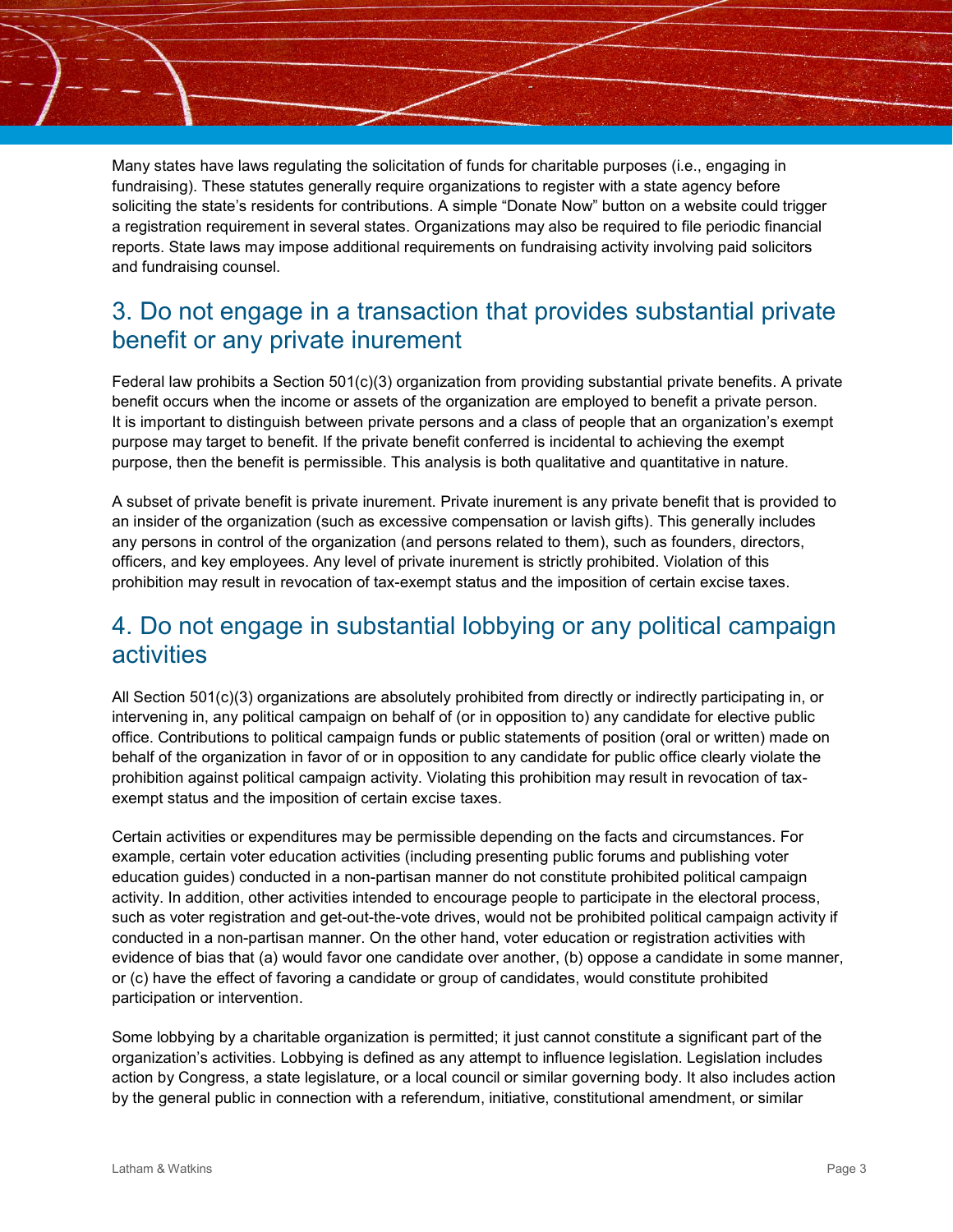Many states have laws regulating the solicitation of funds for charitable purposes (i.e., engaging in fundraising). These statutes generally require organizations to register with a state agency before soliciting the state's residents for contributions. A simple "Donate Now" button on a website could trigger a registration requirement in several states. Organizations may also be required to file periodic financial reports. State laws may impose additional requirements on fundraising activity involving paid solicitors and fundraising counsel.

#### 3. Do not engage in a transaction that provides substantial private benefit or any private inurement

Federal law prohibits a Section 501(c)(3) organization from providing substantial private benefits. A private benefit occurs when the income or assets of the organization are employed to benefit a private person. It is important to distinguish between private persons and a class of people that an organization's exempt purpose may target to benefit. If the private benefit conferred is incidental to achieving the exempt purpose, then the benefit is permissible. This analysis is both qualitative and quantitative in nature.

A subset of private benefit is private inurement. Private inurement is any private benefit that is provided to an insider of the organization (such as excessive compensation or lavish gifts). This generally includes any persons in control of the organization (and persons related to them), such as founders, directors, officers, and key employees. Any level of private inurement is strictly prohibited. Violation of this prohibition may result in revocation of tax-exempt status and the imposition of certain excise taxes.

#### 4. Do not engage in substantial lobbying or any political campaign activities

All Section 501(c)(3) organizations are absolutely prohibited from directly or indirectly participating in, or intervening in, any political campaign on behalf of (or in opposition to) any candidate for elective public office. Contributions to political campaign funds or public statements of position (oral or written) made on behalf of the organization in favor of or in opposition to any candidate for public office clearly violate the prohibition against political campaign activity. Violating this prohibition may result in revocation of taxexempt status and the imposition of certain excise taxes.

Certain activities or expenditures may be permissible depending on the facts and circumstances. For example, certain voter education activities (including presenting public forums and publishing voter education guides) conducted in a non-partisan manner do not constitute prohibited political campaign activity. In addition, other activities intended to encourage people to participate in the electoral process, such as voter registration and get-out-the-vote drives, would not be prohibited political campaign activity if conducted in a non-partisan manner. On the other hand, voter education or registration activities with evidence of bias that (a) would favor one candidate over another, (b) oppose a candidate in some manner, or (c) have the effect of favoring a candidate or group of candidates, would constitute prohibited participation or intervention.

Some lobbying by a charitable organization is permitted; it just cannot constitute a significant part of the organization's activities. Lobbying is defined as any attempt to influence legislation. Legislation includes action by Congress, a state legislature, or a local council or similar governing body. It also includes action by the general public in connection with a referendum, initiative, constitutional amendment, or similar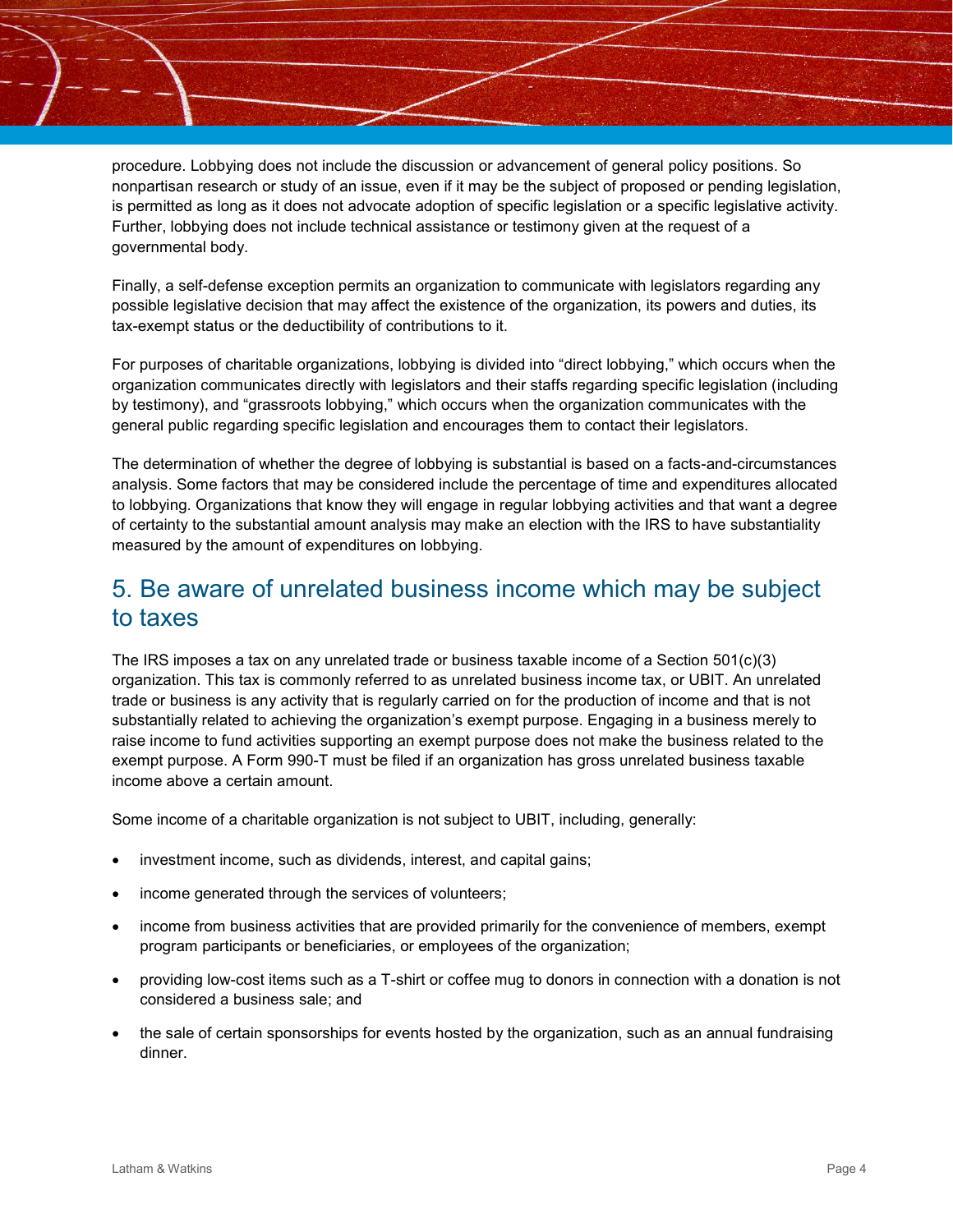procedure. Lobbying does not include the discussion or advancement of general policy positions. So nonpartisan research or study of an issue, even if it may be the subject of proposed or pending legislation, is permitted as long as it does not advocate adoption of specific legislation or a specific legislative activity. Further, lobbying does not include technical assistance or testimony given at the request of a governmental body.

Finally, a self-defense exception permits an organization to communicate with legislators regarding any possible legislative decision that may affect the existence of the organization, its powers and duties, its tax-exempt status or the deductibility of contributions to it.

For purposes of charitable organizations, lobbying is divided into "direct lobbying," which occurs when the organization communicates directly with legislators and their staffs regarding specific legislation (including by testimony), and "grassroots lobbying," which occurs when the organization communicates with the general public regarding specific legislation and encourages them to contact their legislators.

The determination of whether the degree of lobbying is substantial is based on a facts-and-circumstances analysis. Some factors that may be considered include the percentage of time and expenditures allocated to lobbying. Organizations that know they will engage in regular lobbying activities and that want a degree of certainty to the substantial amount analysis may make an election with the IRS to have substantiality measured by the amount of expenditures on lobbying.

#### 5. Be aware of unrelated business income which may be subject to taxes

The IRS imposes a tax on any unrelated trade or business taxable income of a Section 501(c)(3) organization. This tax is commonly referred to as unrelated business income tax, or UBIT. An unrelated trade or business is any activity that is regularly carried on for the production of income and that is not substantially related to achieving the organization's exempt purpose. Engaging in a business merely to raise income to fund activities supporting an exempt purpose does not make the business related to the exempt purpose. A Form 990-T must be filed if an organization has gross unrelated business taxable income above a certain amount.

Some income of a charitable organization is not subject to UBIT, including, generally:

- investment income, such as dividends, interest, and capital gains;
- income generated through the services of volunteers;
- income from business activities that are provided primarily for the convenience of members, exempt program participants or beneficiaries, or employees of the organization;
- providing low-cost items such as a T-shirt or coffee mug to donors in connection with a donation is not considered a business sale; and
- the sale of certain sponsorships for events hosted by the organization, such as an annual fundraising dinner.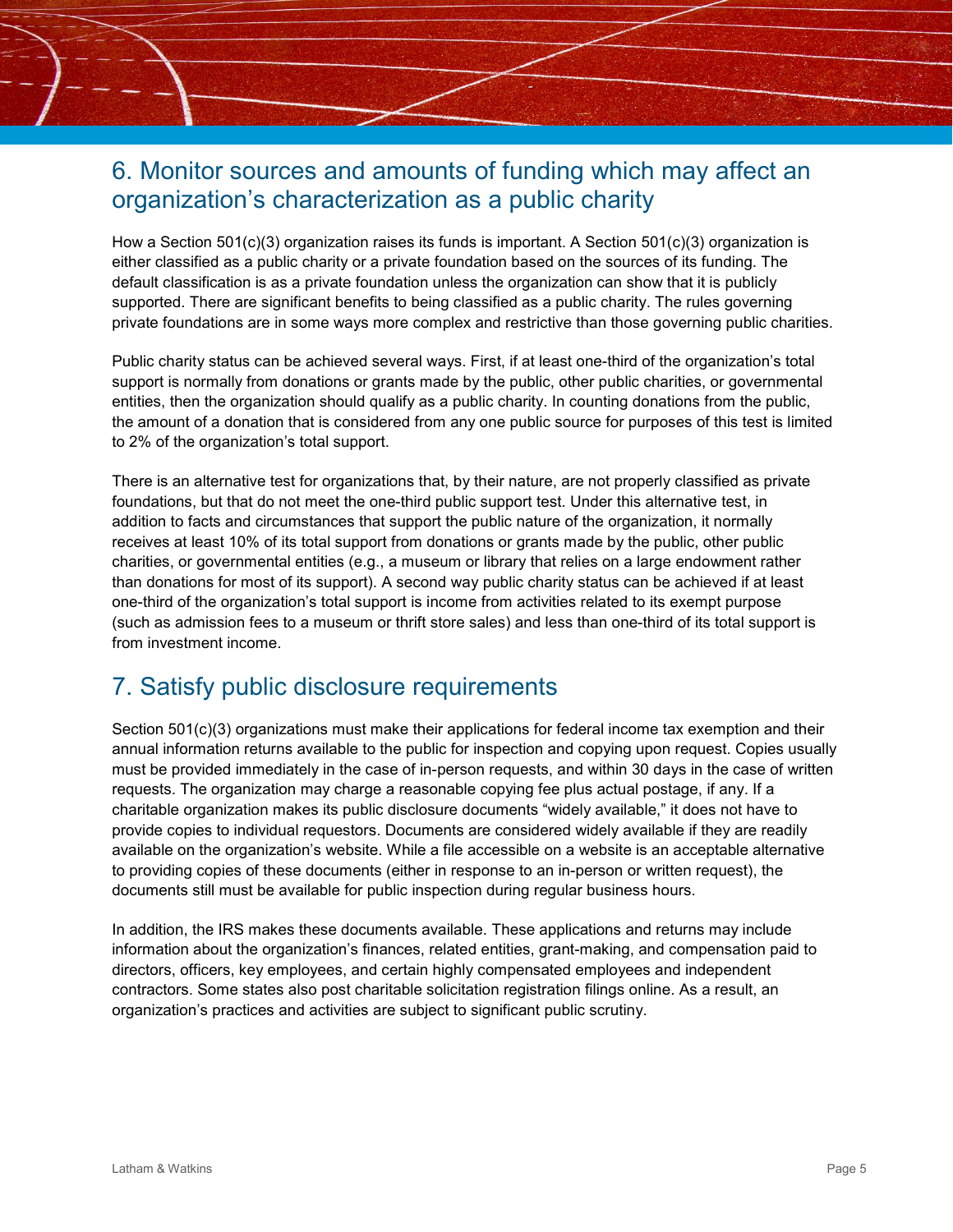## 6. Monitor sources and amounts of funding which may affect an organization's characterization as a public charity

How a Section 501(c)(3) organization raises its funds is important. A Section 501(c)(3) organization is either classified as a public charity or a private foundation based on the sources of its funding. The default classification is as a private foundation unless the organization can show that it is publicly supported. There are significant benefits to being classified as a public charity. The rules governing private foundations are in some ways more complex and restrictive than those governing public charities.

Public charity status can be achieved several ways. First, if at least one-third of the organization's total support is normally from donations or grants made by the public, other public charities, or governmental entities, then the organization should qualify as a public charity. In counting donations from the public, the amount of a donation that is considered from any one public source for purposes of this test is limited to 2% of the organization's total support.

There is an alternative test for organizations that, by their nature, are not properly classified as private foundations, but that do not meet the one-third public support test. Under this alternative test, in addition to facts and circumstances that support the public nature of the organization, it normally receives at least 10% of its total support from donations or grants made by the public, other public charities, or governmental entities (e.g., a museum or library that relies on a large endowment rather than donations for most of its support). A second way public charity status can be achieved if at least one-third of the organization's total support is income from activities related to its exempt purpose (such as admission fees to a museum or thrift store sales) and less than one-third of its total support is from investment income.

### 7. Satisfy public disclosure requirements

Section 501(c)(3) organizations must make their applications for federal income tax exemption and their annual information returns available to the public for inspection and copying upon request. Copies usually must be provided immediately in the case of in-person requests, and within 30 days in the case of written requests. The organization may charge a reasonable copying fee plus actual postage, if any. If a charitable organization makes its public disclosure documents "widely available," it does not have to provide copies to individual requestors. Documents are considered widely available if they are readily available on the organization's website. While a file accessible on a website is an acceptable alternative to providing copies of these documents (either in response to an in-person or written request), the documents still must be available for public inspection during regular business hours.

In addition, the IRS makes these documents available. These applications and returns may include information about the organization's finances, related entities, grant-making, and compensation paid to directors, officers, key employees, and certain highly compensated employees and independent contractors. Some states also post charitable solicitation registration filings online. As a result, an organization's practices and activities are subject to significant public scrutiny.